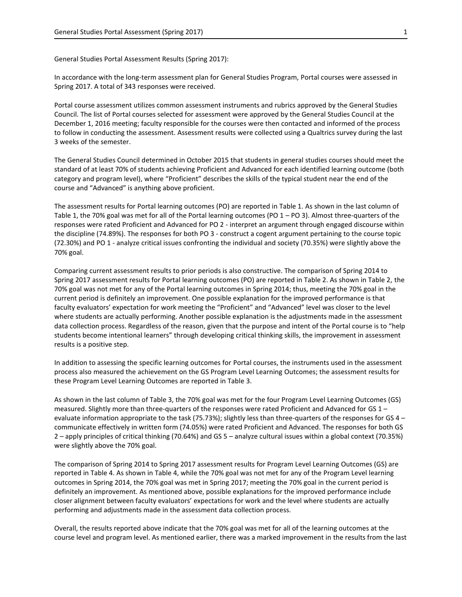General Studies Portal Assessment Results (Spring 2017):

In accordance with the long-term assessment plan for General Studies Program, Portal courses were assessed in Spring 2017. A total of 343 responses were received.

Portal course assessment utilizes common assessment instruments and rubrics approved by the General Studies Council. The list of Portal courses selected for assessment were approved by the General Studies Council at the December 1, 2016 meeting; faculty responsible for the courses were then contacted and informed of the process to follow in conducting the assessment. Assessment results were collected using a Qualtrics survey during the last 3 weeks of the semester.

The General Studies Council determined in October 2015 that students in general studies courses should meet the standard of at least 70% of students achieving Proficient and Advanced for each identified learning outcome (both category and program level), where "Proficient" describes the skills of the typical student near the end of the course and "Advanced" is anything above proficient.

The assessment results for Portal learning outcomes (PO) are reported in Table 1. As shown in the last column of Table 1, the 70% goal was met for all of the Portal learning outcomes (PO  $1 -$  PO 3). Almost three-quarters of the responses were rated Proficient and Advanced for PO 2 - interpret an argument through engaged discourse within the discipline (74.89%). The responses for both PO 3 - construct a cogent argument pertaining to the course topic (72.30%) and PO 1 - analyze critical issues confronting the individual and society (70.35%) were slightly above the 70% goal.

Comparing current assessment results to prior periods is also constructive. The comparison of Spring 2014 to Spring 2017 assessment results for Portal learning outcomes (PO) are reported in Table 2. As shown in Table 2, the 70% goal was not met for any of the Portal learning outcomes in Spring 2014; thus, meeting the 70% goal in the current period is definitely an improvement. One possible explanation for the improved performance is that faculty evaluators' expectation for work meeting the "Proficient" and "Advanced" level was closer to the level where students are actually performing. Another possible explanation is the adjustments made in the assessment data collection process. Regardless of the reason, given that the purpose and intent of the Portal course is to "help students become intentional learners" through developing critical thinking skills, the improvement in assessment results is a positive step.

In addition to assessing the specific learning outcomes for Portal courses, the instruments used in the assessment process also measured the achievement on the GS Program Level Learning Outcomes; the assessment results for these Program Level Learning Outcomes are reported in Table 3.

As shown in the last column of Table 3, the 70% goal was met for the four Program Level Learning Outcomes (GS) measured. Slightly more than three-quarters of the responses were rated Proficient and Advanced for GS 1 – evaluate information appropriate to the task (75.73%); slightly less than three-quarters of the responses for GS 4 – communicate effectively in written form (74.05%) were rated Proficient and Advanced. The responses for both GS 2 – apply principles of critical thinking (70.64%) and GS 5 – analyze cultural issues within a global context (70.35%) were slightly above the 70% goal.

The comparison of Spring 2014 to Spring 2017 assessment results for Program Level Learning Outcomes (GS) are reported in Table 4. As shown in Table 4, while the 70% goal was not met for any of the Program Level learning outcomes in Spring 2014, the 70% goal was met in Spring 2017; meeting the 70% goal in the current period is definitely an improvement. As mentioned above, possible explanations for the improved performance include closer alignment between faculty evaluators' expectations for work and the level where students are actually performing and adjustments made in the assessment data collection process.

Overall, the results reported above indicate that the 70% goal was met for all of the learning outcomes at the course level and program level. As mentioned earlier, there was a marked improvement in the results from the last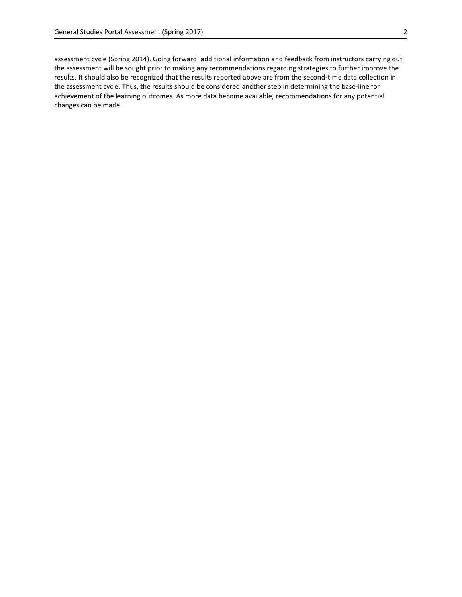assessment cycle (Spring 2014). Going forward, additional information and feedback from instructors carrying out the assessment will be sought prior to making any recommendations regarding strategies to further improve the results. It should also be recognized that the results reported above are from the second-time data collection in the assessment cycle. Thus, the results should be considered another step in determining the base-line for achievement of the learning outcomes. As more data become available, recommendations for any potential changes can be made.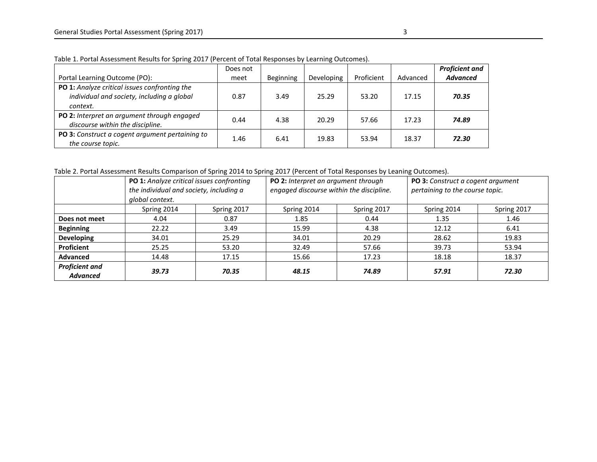|                                                                                                         | Does not |           |            |            |          | <b>Proficient and</b> |
|---------------------------------------------------------------------------------------------------------|----------|-----------|------------|------------|----------|-----------------------|
| Portal Learning Outcome (PO):                                                                           | meet     | Beginning | Developing | Proficient | Advanced | <b>Advanced</b>       |
| PO 1: Analyze critical issues confronting the<br>individual and society, including a global<br>context. | 0.87     | 3.49      | 25.29      | 53.20      | 17.15    | 70.35                 |
| PO 2: Interpret an argument through engaged<br>discourse within the discipline.                         | 0.44     | 4.38      | 20.29      | 57.66      | 17.23    | 74.89                 |
| PO 3: Construct a cogent argument pertaining to<br>the course topic.                                    | 1.46     | 6.41      | 19.83      | 53.94      | 18.37    | 72.30                 |

Table 1. Portal Assessment Results for Spring 2017 (Percent of Total Responses by Learning Outcomes).

Table 2. Portal Assessment Results Comparison of Spring 2014 to Spring 2017 (Percent of Total Responses by Leaning Outcomes).

|                                          | PO 1: Analyze critical issues confronting<br>the individual and society, including a<br>global context. |             | PO 2: Interpret an argument through<br>engaged discourse within the discipline. |             | PO 3: Construct a cogent argument<br>pertaining to the course topic. |             |  |
|------------------------------------------|---------------------------------------------------------------------------------------------------------|-------------|---------------------------------------------------------------------------------|-------------|----------------------------------------------------------------------|-------------|--|
|                                          | Spring 2014                                                                                             | Spring 2017 | Spring 2014                                                                     | Spring 2017 | Spring 2014                                                          | Spring 2017 |  |
| Does not meet                            | 4.04                                                                                                    | 0.87        | 1.85                                                                            | 0.44        | 1.35                                                                 | 1.46        |  |
| <b>Beginning</b>                         | 22.22                                                                                                   | 3.49        | 15.99                                                                           | 4.38        | 12.12                                                                | 6.41        |  |
| <b>Developing</b>                        | 34.01                                                                                                   | 25.29       | 34.01                                                                           | 20.29       | 28.62                                                                | 19.83       |  |
| Proficient                               | 25.25                                                                                                   | 53.20       | 32.49                                                                           | 57.66       | 39.73                                                                | 53.94       |  |
| <b>Advanced</b>                          | 14.48                                                                                                   | 17.15       | 15.66                                                                           | 17.23       | 18.18                                                                | 18.37       |  |
| <b>Proficient and</b><br><b>Advanced</b> | 39.73                                                                                                   | 70.35       | 48.15                                                                           | 74.89       | 57.91                                                                | 72.30       |  |